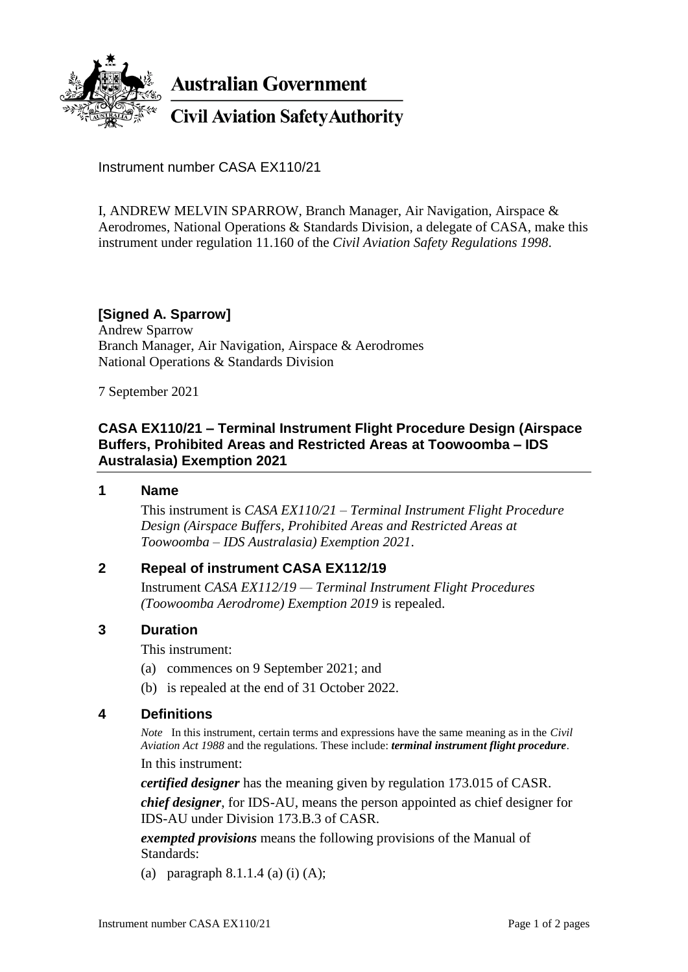

**Australian Government** 

**Civil Aviation Safety Authority** 

Instrument number CASA EX110/21

I, ANDREW MELVIN SPARROW, Branch Manager, Air Navigation, Airspace & Aerodromes, National Operations & Standards Division, a delegate of CASA, make this instrument under regulation 11.160 of the *Civil Aviation Safety Regulations 1998*.

# **[Signed A. Sparrow]**

Andrew Sparrow Branch Manager, Air Navigation, Airspace & Aerodromes National Operations & Standards Division

7 September 2021

### **CASA EX110/21 – Terminal Instrument Flight Procedure Design (Airspace Buffers, Prohibited Areas and Restricted Areas at Toowoomba – IDS Australasia) Exemption 2021**

#### **1 Name**

This instrument is *CASA EX110/21 – Terminal Instrument Flight Procedure Design (Airspace Buffers, Prohibited Areas and Restricted Areas at Toowoomba – IDS Australasia) Exemption 2021*.

#### **2 Repeal of instrument CASA EX112/19**

Instrument *CASA EX112/19 — Terminal Instrument Flight Procedures (Toowoomba Aerodrome) Exemption 2019* is repealed.

#### **3 Duration**

This instrument:

- (a) commences on 9 September 2021; and
- (b) is repealed at the end of 31 October 2022.

#### **4 Definitions**

*Note* In this instrument, certain terms and expressions have the same meaning as in the *Civil Aviation Act 1988* and the regulations. These include: *terminal instrument flight procedure*.

In this instrument:

*certified designer* has the meaning given by regulation 173.015 of CASR.

*chief designer*, for IDS-AU, means the person appointed as chief designer for IDS-AU under Division 173.B.3 of CASR.

*exempted provisions* means the following provisions of the Manual of Standards:

(a) paragraph  $8.1.1.4$  (a) (i) (A);